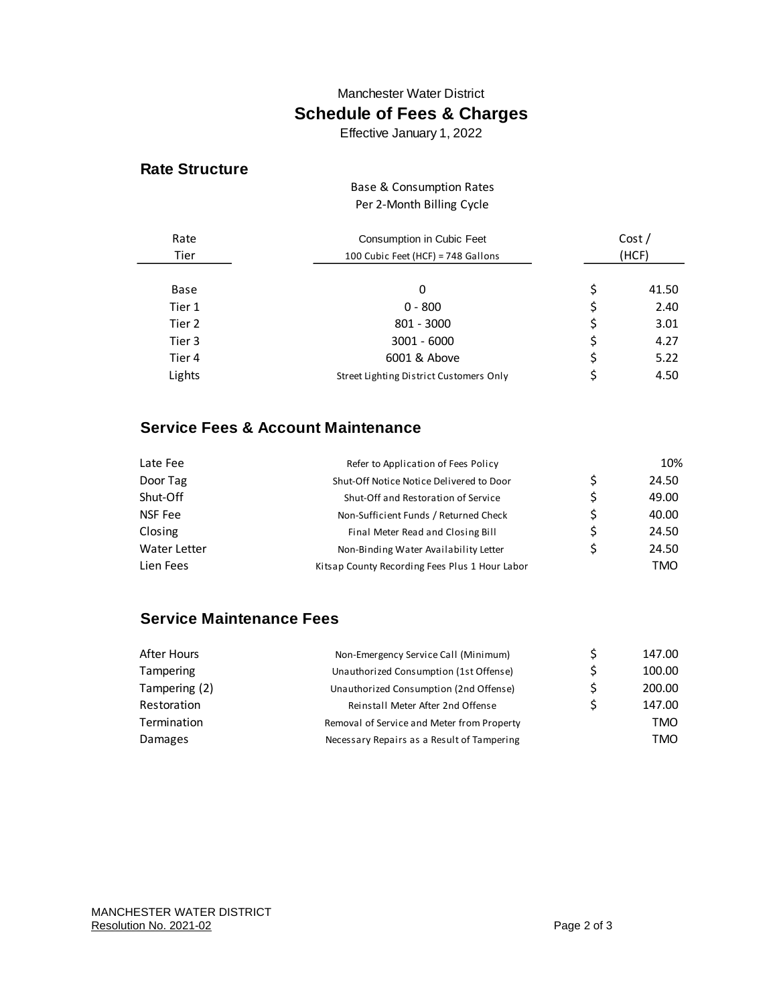#### Manchester Water District

# **Schedule of Fees & Charges**

Effective January 1, 2022

### **Rate Structure**

#### Per 2-Month Billing Cycle Base & Consumption Rates

| Rate<br>Tier | Consumption in Cubic Feet<br>100 Cubic Feet (HCF) = 748 Gallons | Cost/<br>(HCF) |       |
|--------------|-----------------------------------------------------------------|----------------|-------|
| Base         | 0                                                               | \$             | 41.50 |
| Tier 1       | $0 - 800$                                                       | \$             | 2.40  |
| Tier 2       | 801 - 3000                                                      | \$             | 3.01  |
| Tier 3       | $3001 - 6000$                                                   | \$             | 4.27  |
| Tier 4       | 6001 & Above                                                    | \$             | 5.22  |
| Lights       | Street Lighting District Customers Only                         | \$             | 4.50  |

## **Service Fees & Account Maintenance**

| Late Fee     | Refer to Application of Fees Policy            |    | 10%   |
|--------------|------------------------------------------------|----|-------|
| Door Tag     | Shut-Off Notice Notice Delivered to Door       | Ś  | 24.50 |
| Shut-Off     | Shut-Off and Restoration of Service            | S. | 49.00 |
| NSF Fee      | Non-Sufficient Funds / Returned Check          | Ś  | 40.00 |
| Closing      | Final Meter Read and Closing Bill              | S  | 24.50 |
| Water Letter | Non-Binding Water Availability Letter          | S  | 24.50 |
| Lien Fees    | Kitsap County Recording Fees Plus 1 Hour Labor |    | TMO   |

## **Service Maintenance Fees**

| After Hours   | Non-Emergency Service Call (Minimum)       |   | 147.00 |
|---------------|--------------------------------------------|---|--------|
| Tampering     | Unauthorized Consumption (1st Offense)     |   | 100.00 |
| Tampering (2) | Unauthorized Consumption (2nd Offense)     |   | 200.00 |
| Restoration   | Reinstall Meter After 2nd Offense          | ς | 147.00 |
| Termination   | Removal of Service and Meter from Property |   | TMO    |
| Damages       | Necessary Repairs as a Result of Tampering |   | TMO    |